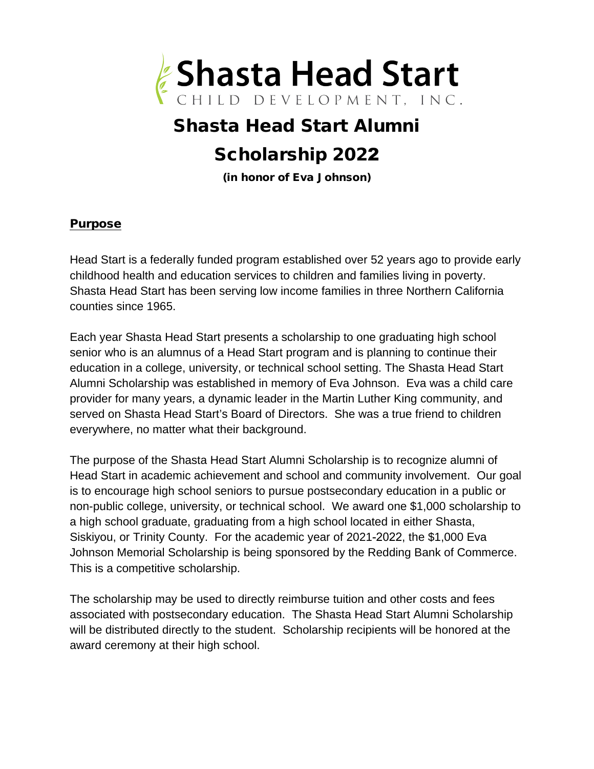

# Shasta Head Start Alumni Scholarship 2022

(in honor of Eva Johnson)

#### Purpose

Head Start is a federally funded program established over 52 years ago to provide early childhood health and education services to children and families living in poverty. Shasta Head Start has been serving low income families in three Northern California counties since 1965.

Each year Shasta Head Start presents a scholarship to one graduating high school senior who is an alumnus of a Head Start program and is planning to continue their education in a college, university, or technical school setting. The Shasta Head Start Alumni Scholarship was established in memory of Eva Johnson. Eva was a child care provider for many years, a dynamic leader in the Martin Luther King community, and served on Shasta Head Start's Board of Directors. She was a true friend to children everywhere, no matter what their background.

The purpose of the Shasta Head Start Alumni Scholarship is to recognize alumni of Head Start in academic achievement and school and community involvement. Our goal is to encourage high school seniors to pursue postsecondary education in a public or non-public college, university, or technical school. We award one \$1,000 scholarship to a high school graduate, graduating from a high school located in either Shasta, Siskiyou, or Trinity County. For the academic year of 2021-2022, the \$1,000 Eva Johnson Memorial Scholarship is being sponsored by the Redding Bank of Commerce. This is a competitive scholarship.

The scholarship may be used to directly reimburse tuition and other costs and fees associated with postsecondary education. The Shasta Head Start Alumni Scholarship will be distributed directly to the student. Scholarship recipients will be honored at the award ceremony at their high school.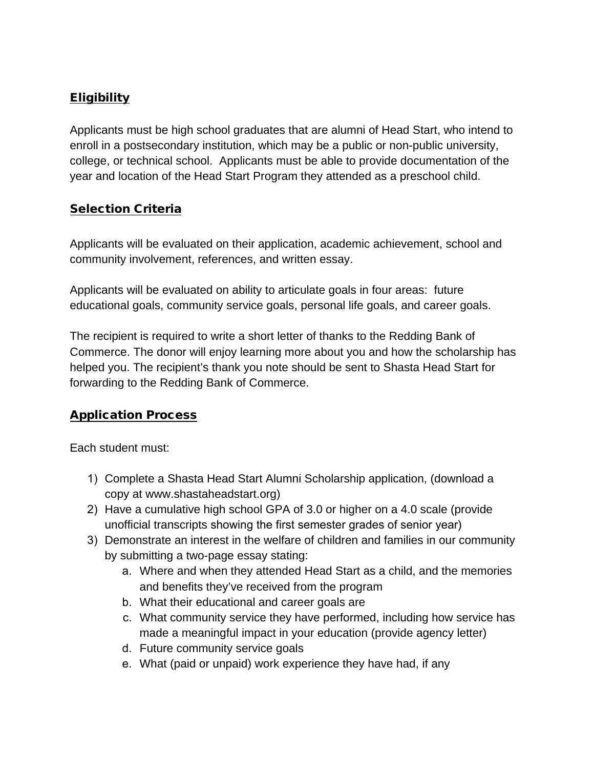## **Eligibility**

Applicants must be high school graduates that are alumni of Head Start, who intend to enroll in a postsecondary institution, which may be a public or non-public university, college, or technical school. Applicants must be able to provide documentation of the year and location of the Head Start Program they attended as a preschool child.

### **Selection Criteria**

Applicants will be evaluated on their application, academic achievement, school and community involvement, references, and written essay.

Applicants will be evaluated on ability to articulate goals in four areas: future educational goals, community service goals, personal life goals, and career goals.

The recipient is required to write a short letter of thanks to the Redding Bank of Commerce. The donor will enjoy learning more about you and how the scholarship has helped you. The recipient's thank you note should be sent to Shasta Head Start for forwarding to the Redding Bank of Commerce.

### Application Process

Each student must:

- 1) Complete a Shasta Head Start Alumni Scholarship application, (download a copy at www.shastaheadstart.org)
- 2) Have a cumulative high school GPA of 3.0 or higher on a 4.0 scale (provide unofficial transcripts showing the first semester grades of senior year)
- 3) Demonstrate an interest in the welfare of children and families in our community by submitting a two-page essay stating:
	- a. Where and when they attended Head Start as a child, and the memories and benefits they've received from the program
	- b. What their educational and career goals are
	- c. What community service they have performed, including how service has made a meaningful impact in your education (provide agency letter)
	- d. Future community service goals
	- e. What (paid or unpaid) work experience they have had, if any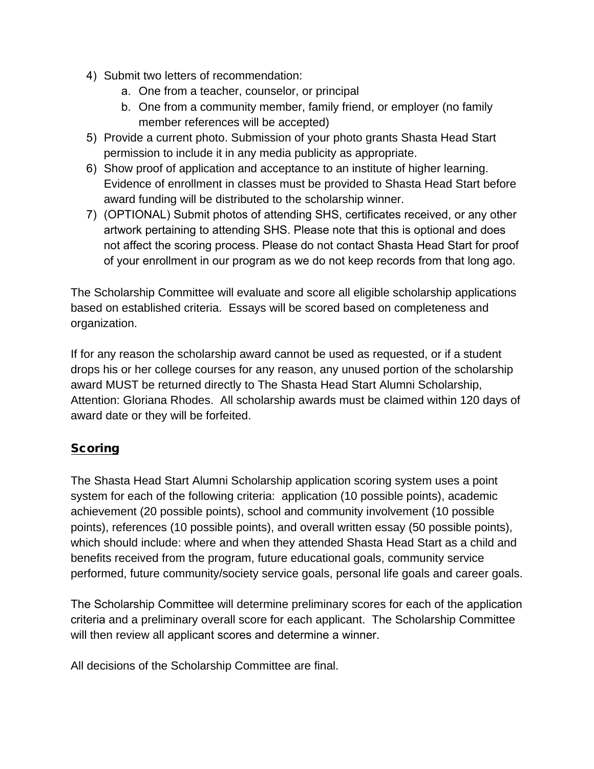- 4) Submit two letters of recommendation:
	- a. One from a teacher, counselor, or principal
	- b. One from a community member, family friend, or employer (no family member references will be accepted)
- 5) Provide a current photo. Submission of your photo grants Shasta Head Start permission to include it in any media publicity as appropriate.
- 6) Show proof of application and acceptance to an institute of higher learning. Evidence of enrollment in classes must be provided to Shasta Head Start before award funding will be distributed to the scholarship winner.
- 7) (OPTIONAL) Submit photos of attending SHS, certificates received, or any other artwork pertaining to attending SHS. Please note that this is optional and does not affect the scoring process. Please do not contact Shasta Head Start for proof of your enrollment in our program as we do not keep records from that long ago.

The Scholarship Committee will evaluate and score all eligible scholarship applications based on established criteria. Essays will be scored based on completeness and organization.

If for any reason the scholarship award cannot be used as requested, or if a student drops his or her college courses for any reason, any unused portion of the scholarship award MUST be returned directly to The Shasta Head Start Alumni Scholarship, Attention: Gloriana Rhodes. All scholarship awards must be claimed within 120 days of award date or they will be forfeited.

## **Scoring**

The Shasta Head Start Alumni Scholarship application scoring system uses a point system for each of the following criteria: application (10 possible points), academic achievement (20 possible points), school and community involvement (10 possible points), references (10 possible points), and overall written essay (50 possible points), which should include: where and when they attended Shasta Head Start as a child and benefits received from the program, future educational goals, community service performed, future community/society service goals, personal life goals and career goals.

The Scholarship Committee will determine preliminary scores for each of the application criteria and a preliminary overall score for each applicant. The Scholarship Committee will then review all applicant scores and determine a winner.

All decisions of the Scholarship Committee are final.